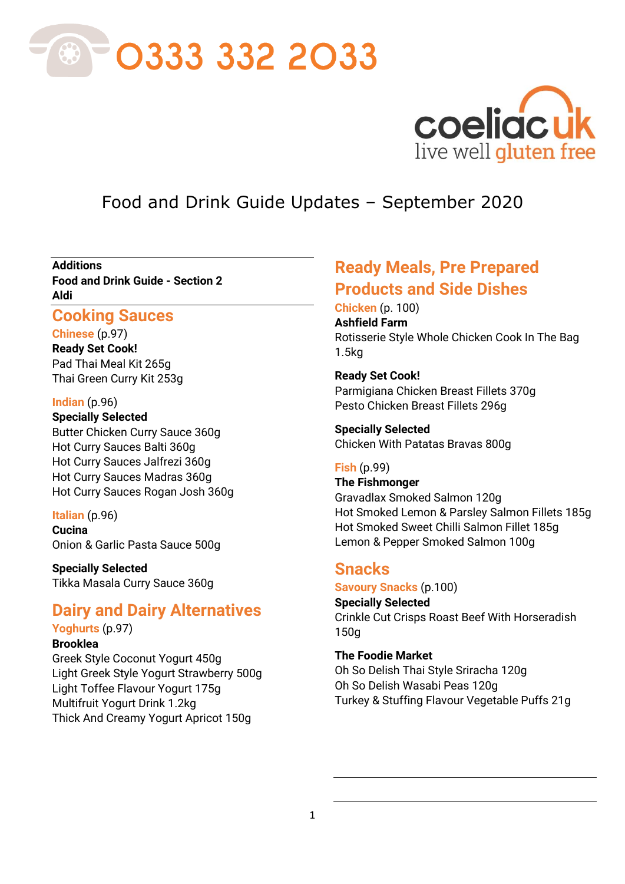



# Food and Drink Guide Updates – September 2020

### **Additions**

**Food and Drink Guide - Section 2 Aldi**

### **Cooking Sauces**

**Chinese** (p.97) **Ready Set Cook!** Pad Thai Meal Kit 265g Thai Green Curry Kit 253g

#### **Indian** (p.96)

**Specially Selected** Butter Chicken Curry Sauce 360g Hot Curry Sauces Balti 360g Hot Curry Sauces Jalfrezi 360g Hot Curry Sauces Madras 360g Hot Curry Sauces Rogan Josh 360g

#### **Italian** (p.96)

**Cucina** Onion & Garlic Pasta Sauce 500g

**Specially Selected** Tikka Masala Curry Sauce 360g

## **Dairy and Dairy Alternatives**

**Yoghurts** (p.97)

### **Brooklea**

Greek Style Coconut Yogurt 450g Light Greek Style Yogurt Strawberry 500g Light Toffee Flavour Yogurt 175g Multifruit Yogurt Drink 1.2kg Thick And Creamy Yogurt Apricot 150g

# **Ready Meals, Pre Prepared Products and Side Dishes**

**Chicken** (p. 100) **Ashfield Farm** Rotisserie Style Whole Chicken Cook In The Bag 1.5kg

### **Ready Set Cook!**

Parmigiana Chicken Breast Fillets 370g Pesto Chicken Breast Fillets 296g

**Specially Selected** Chicken With Patatas Bravas 800g

#### **Fish** (p.99)

**The Fishmonger** Gravadlax Smoked Salmon 120g Hot Smoked Lemon & Parsley Salmon Fillets 185g Hot Smoked Sweet Chilli Salmon Fillet 185g Lemon & Pepper Smoked Salmon 100g

### **Snacks**

**Savoury Snacks** (p.100)

**Specially Selected** Crinkle Cut Crisps Roast Beef With Horseradish 150g

#### **The Foodie Market**

Oh So Delish Thai Style Sriracha 120g Oh So Delish Wasabi Peas 120g Turkey & Stuffing Flavour Vegetable Puffs 21g